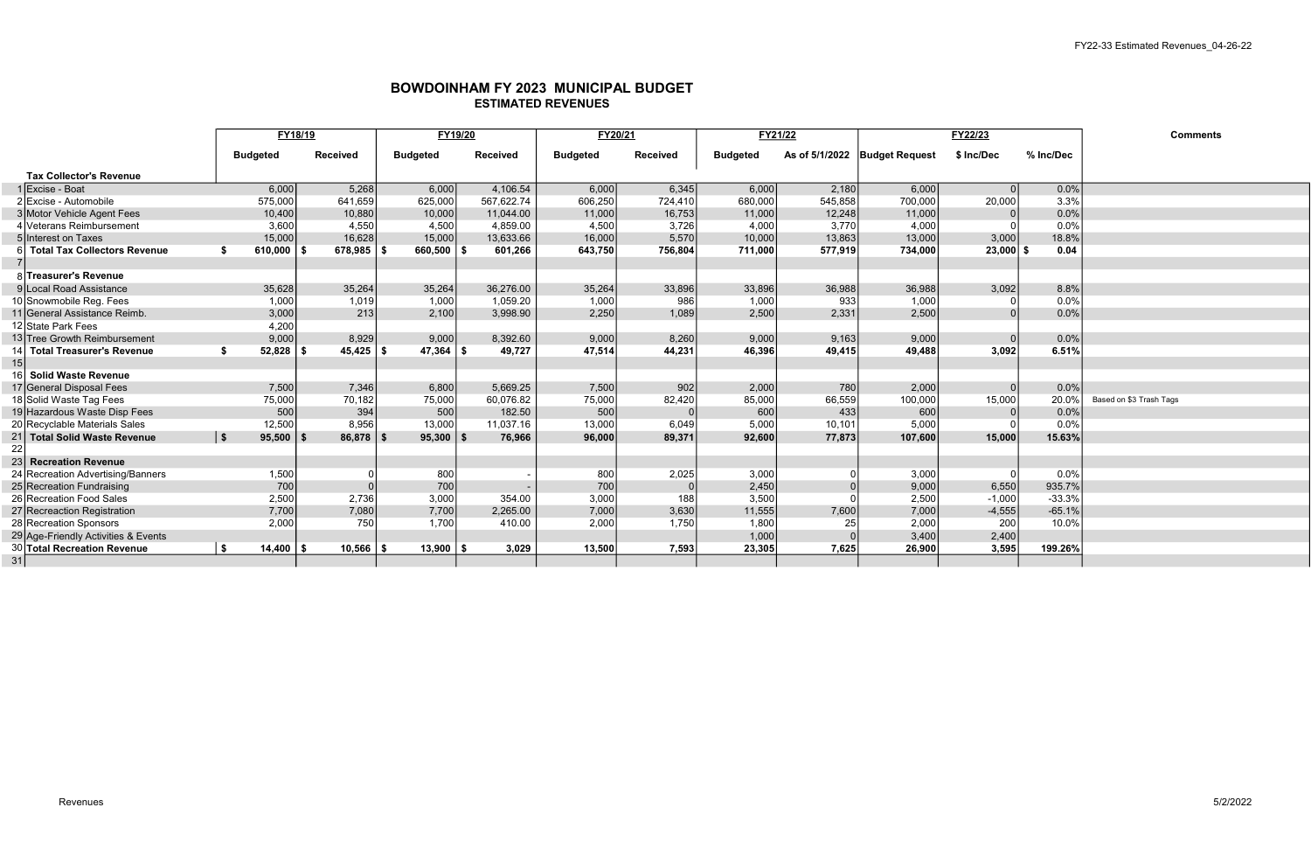## BOWDOINHAM FY 2023 MUNICIPAL BUDGET ESTIMATED REVENUES

|                                         | FY18/19              |                       | FY19/20         |                 | FY20/21         |                 | FY21/22         |         | FY22/23                       |             |           | <b>Comments</b>         |
|-----------------------------------------|----------------------|-----------------------|-----------------|-----------------|-----------------|-----------------|-----------------|---------|-------------------------------|-------------|-----------|-------------------------|
|                                         | <b>Budgeted</b>      | <b>Received</b>       | <b>Budgeted</b> | <b>Received</b> | <b>Budgeted</b> | <b>Received</b> | <b>Budgeted</b> |         | As of 5/1/2022 Budget Request | \$ Inc/Dec  | % Inc/Dec |                         |
| <b>Tax Collector's Revenue</b>          |                      |                       |                 |                 |                 |                 |                 |         |                               |             |           |                         |
| 1 ∣Excise - Boat                        | 6,000                | 5,268                 | 6,000           | 4,106.54        | 6,000           | 6,345           | 6,000           | 2,180   | 6,000                         |             | 0.0%      |                         |
| 2 Excise - Automobile                   | 575,000              | 641,659               | 625,000         | 567,622.74      | 606,250         | 724,410         | 680,000         | 545,858 | 700,000                       | 20,000      | 3.3%      |                         |
| 3 Motor Vehicle Agent Fees              | 10,400               | 10,880                | 10,000          | 11,044.00       | 11,000          | 16,753          | 11,000          | 12,248  | 11,000                        |             | 0.0%      |                         |
| Veterans Reimbursement                  | 3,600                | 4,550                 | 4,500           | 4,859.00        | 4,500           | 3,726           | 4,000           | 3,770   | 4,000                         |             | 0.0%      |                         |
| 5 Interest on Taxes                     | 15,000               | 16,628                | 15,000          | 13,633.66       | 16,000          | 5,570           | 10,000          | 13,863  | 13,000                        | 3,000       | 18.8%     |                         |
| <b>Total Tax Collectors Revenue</b>     | 610,000              | $678,985$ \ \$        | $660,500$   \$  | 601,266         | 643,750         | 756,804         | 711,000         | 577,919 | 734,000                       | $23,000$ \$ | 0.04      |                         |
|                                         |                      |                       |                 |                 |                 |                 |                 |         |                               |             |           |                         |
| 8 Treasurer's Revenue                   |                      |                       |                 |                 |                 |                 |                 |         |                               |             |           |                         |
| 9 Local Road Assistance                 | 35,628               | 35,264                | 35,264          | 36,276.00       | 35,264          | 33,896          | 33,896          | 36,988  | 36,988                        | 3,092       | 8.8%      |                         |
| 10 Snowmobile Reg. Fees                 | 1,000                | 1,019                 | 1,000           | 1,059.20        | 1,000           | 986             | 1,000           | 933     | 1,000                         |             | 0.0%      |                         |
| 11 General Assistance Reimb.            | 3,000                | 213                   | 2,100           | 3,998.90        | 2,250           | 1,089           | 2,500           | 2,331   | 2,500                         |             | 0.0%      |                         |
| 12 State Park Fees                      | 4,200                |                       |                 |                 |                 |                 |                 |         |                               |             |           |                         |
| 13 Tree Growth Reimbursement            | 9,000                | 8,929                 | 9,000           | 8,392.60        | 9,000           | 8,260           | 9,000           | 9,163   | 9,000                         |             | 0.0%      |                         |
| <b>Total Treasurer's Revenue</b><br>-14 | 52,828<br>-\$        | $45,425$ \ \$<br>- 9  | $47,364$ \\$    | 49,727          | 47,514          | 44,231          | 46,396          | 49,415  | 49,488                        | 3,092       | 6.51%     |                         |
| 15                                      |                      |                       |                 |                 |                 |                 |                 |         |                               |             |           |                         |
| <b>Solid Waste Revenue</b>              |                      |                       |                 |                 |                 |                 |                 |         |                               |             |           |                         |
| 17 General Disposal Fees                | 7,500                | 7,346                 | 6,800           | 5,669.25        | 7,500           | 902             | 2,000           | 780     | 2,000                         |             | 0.0%      |                         |
| 18 Solid Waste Tag Fees                 | 75,000               | 70,182                | 75,000          | 60,076.82       | 75,000          | 82,420          | 85,000          | 66,559  | 100,000                       | 15,000      | 20.0%     | Based on \$3 Trash Tags |
| 19 Hazardous Waste Disp Fees            | 500                  | 394                   | 500             | 182.50          | 500             |                 | 600             | 433     | 600                           |             | 0.0%      |                         |
| 20 Recyclable Materials Sales           | 12,500               | 8,956                 | 13,000          | 11,037.16       | 13,000          | 6,049           | 5,000           | 10,101  | 5,000                         |             | 0.0%      |                         |
| 21 Total Solid Waste Revenue            | $\vert$ \$<br>95,500 | $86,878$ \ \$<br>l Si | $95,300$   \$   | 76,966          | 96,000          | 89,371          | 92,600          | 77,873  | 107,600                       | 15,000      | 15.63%    |                         |
| 22                                      |                      |                       |                 |                 |                 |                 |                 |         |                               |             |           |                         |
| 23<br><b>Recreation Revenue</b>         |                      |                       |                 |                 |                 |                 |                 |         |                               |             |           |                         |
| 24 Recreation Advertising/Banners       | 1,500                |                       | 800             |                 | 800             | 2,025           | 3,000           |         | 3,000                         |             | 0.0%      |                         |
| 25 Recreation Fundraising               | 700                  |                       | 700             |                 | 700             |                 | 2,450           |         | 9,000                         | 6,550       | 935.7%    |                         |
| 26 Recreation Food Sales                | 2,500                | 2,736                 | 3,000           | 354.00          | 3,000           | 188             | 3,500           |         | 2,500                         | $-1,000$    | $-33.3%$  |                         |
| 27 Recreaction Registration             | 7,700                | 7,080                 | 7,700           | 2,265.00        | 7,000           | 3,630           | 11,555          | 7,600   | 7,000                         | $-4,555$    | $-65.1%$  |                         |
| 28 Recreation Sponsors                  | 2,000                | 750                   | 1,700           | 410.00          | 2,000           | 1,750           | 1,800           | 25      | 2,000                         | 200         | 10.0%     |                         |
| 29 Age-Friendly Activities & Events     |                      |                       |                 |                 |                 |                 | 1,000           |         | 3,400                         | 2,400       |           |                         |
| 30 Total Recreation Revenue             | l \$<br>14,400       | $10,566$   \$         | $13,900$   \$   | 3,029           | 13,500          | 7,593           | 23,305          | 7,625   | 26,900                        | 3,595       | 199.26%   |                         |
| 31                                      |                      |                       |                 |                 |                 |                 |                 |         |                               |             |           |                         |